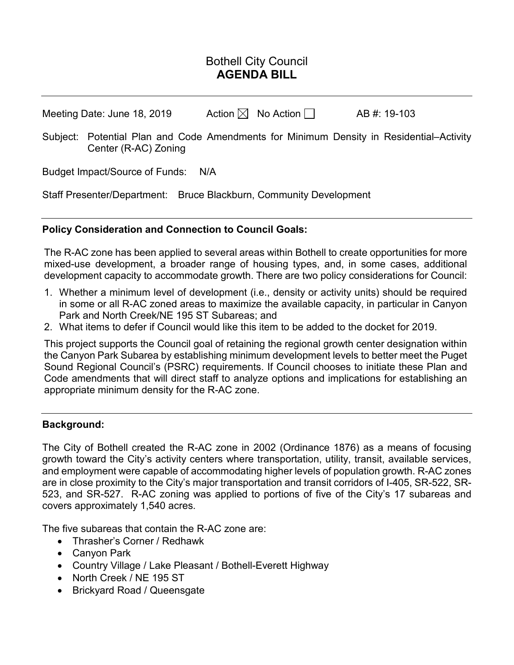# Bothell City Council **AGENDA BILL**

Meeting Date: June 18, 2019  $\blacksquare$  Action  $\boxtimes$  No Action  $\Box$  AB #: 19-103

Subject: Potential Plan and Code Amendments for Minimum Density in Residential–Activity Center (R-AC) Zoning

Budget Impact/Source of Funds: N/A

Staff Presenter/Department: Bruce Blackburn, Community Development

## **Policy Consideration and Connection to Council Goals:**

The R-AC zone has been applied to several areas within Bothell to create opportunities for more mixed-use development, a broader range of housing types, and, in some cases, additional development capacity to accommodate growth. There are two policy considerations for Council:

- 1. Whether a minimum level of development (i.e., density or activity units) should be required in some or all R-AC zoned areas to maximize the available capacity, in particular in Canyon Park and North Creek/NE 195 ST Subareas; and
- 2. What items to defer if Council would like this item to be added to the docket for 2019.

This project supports the Council goal of retaining the regional growth center designation within the Canyon Park Subarea by establishing minimum development levels to better meet the Puget Sound Regional Council's (PSRC) requirements. If Council chooses to initiate these Plan and Code amendments that will direct staff to analyze options and implications for establishing an appropriate minimum density for the R-AC zone.

## **Background:**

The City of Bothell created the R-AC zone in 2002 (Ordinance 1876) as a means of focusing growth toward the City's activity centers where transportation, utility, transit, available services, and employment were capable of accommodating higher levels of population growth. R-AC zones are in close proximity to the City's major transportation and transit corridors of I-405, SR-522, SR-523, and SR-527. R-AC zoning was applied to portions of five of the City's 17 subareas and covers approximately 1,540 acres.

The five subareas that contain the R-AC zone are:

- Thrasher's Corner / Redhawk
- Canyon Park
- Country Village / Lake Pleasant / Bothell-Everett Highway
- North Creek / NE 195 ST
- Brickyard Road / Queensgate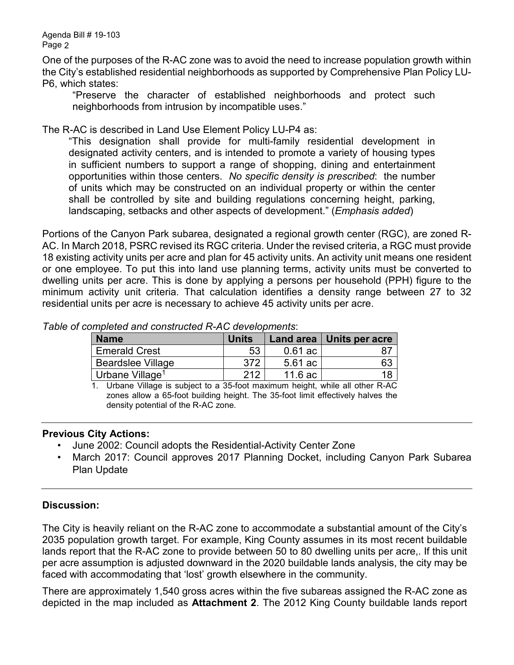Agenda Bill # 19-103 Page 2

One of the purposes of the R-AC zone was to avoid the need to increase population growth within the City's established residential neighborhoods as supported by Comprehensive Plan Policy LU-P6, which states:

"Preserve the character of established neighborhoods and protect such neighborhoods from intrusion by incompatible uses."

The R-AC is described in Land Use Element Policy LU-P4 as:

"This designation shall provide for multi-family residential development in designated activity centers, and is intended to promote a variety of housing types in sufficient numbers to support a range of shopping, dining and entertainment opportunities within those centers. *No specific density is prescribed*: the number of units which may be constructed on an individual property or within the center shall be controlled by site and building regulations concerning height, parking, landscaping, setbacks and other aspects of development." (*Emphasis added*)

Portions of the Canyon Park subarea, designated a regional growth center (RGC), are zoned R-AC. In March 2018, PSRC revised its RGC criteria. Under the revised criteria, a RGC must provide 18 existing activity units per acre and plan for 45 activity units. An activity unit means one resident or one employee. To put this into land use planning terms, activity units must be converted to dwelling units per acre. This is done by applying a persons per household (PPH) figure to the minimum activity unit criteria. That calculation identifies a density range between 27 to 32 residential units per acre is necessary to achieve 45 activity units per acre.

| <b>Name</b>                 | <b>Units</b> |           | Land area   Units per acre |
|-----------------------------|--------------|-----------|----------------------------|
| <b>Emerald Crest</b>        | 53           | $0.61$ ac |                            |
| <b>Beardslee Village</b>    | 372          | 5.61 ac   | 63                         |
| Urbane Village <sup>1</sup> | 212          | 11.6 ac   |                            |

*Table of completed and constructed R-AC developments*:

1. Urbane Village is subject to a 35-foot maximum height, while all other R-AC zones allow a 65-foot building height. The 35-foot limit effectively halves the density potential of the R-AC zone.

#### **Previous City Actions:**

- June 2002: Council adopts the Residential-Activity Center Zone
- March 2017: Council approves 2017 Planning Docket, including Canyon Park Subarea Plan Update

## **Discussion:**

The City is heavily reliant on the R-AC zone to accommodate a substantial amount of the City's 2035 population growth target. For example, King County assumes in its most recent buildable lands report that the R-AC zone to provide between 50 to 80 dwelling units per acre,. If this unit per acre assumption is adjusted downward in the 2020 buildable lands analysis, the city may be faced with accommodating that 'lost' growth elsewhere in the community.

There are approximately 1,540 gross acres within the five subareas assigned the R-AC zone as depicted in the map included as **Attachment 2**. The 2012 King County buildable lands report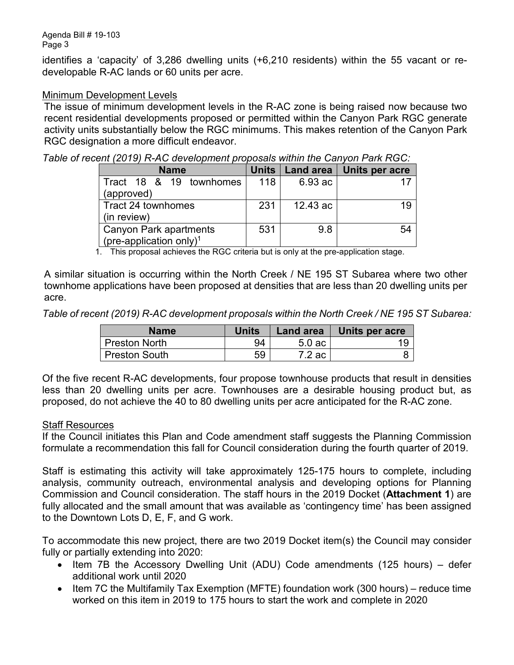identifies a 'capacity' of 3,286 dwelling units (+6,210 residents) within the 55 vacant or redevelopable R-AC lands or 60 units per acre.

### Minimum Development Levels

The issue of minimum development levels in the R-AC zone is being raised now because two recent residential developments proposed or permitted within the Canyon Park RGC generate activity units substantially below the RGC minimums. This makes retention of the Canyon Park RGC designation a more difficult endeavor.

|  |  |  |  | Table of recent (2019) R-AC development proposals within the Canyon Park RGC: |  |  |
|--|--|--|--|-------------------------------------------------------------------------------|--|--|
|--|--|--|--|-------------------------------------------------------------------------------|--|--|

| <b>Name</b>                         | <b>Units</b> | Land area | <b>Units per acre</b> |
|-------------------------------------|--------------|-----------|-----------------------|
| Tract 18 & 19 townhomes             | 118          | 6.93 ac   |                       |
| (approved)                          |              |           |                       |
| Tract 24 townhomes                  | 231          | 12.43 ac  | 19                    |
| (in review)                         |              |           |                       |
| <b>Canyon Park apartments</b>       | 531          | 9.8       | 54                    |
| (pre-application only) <sup>1</sup> |              |           |                       |

1. This proposal achieves the RGC criteria but is only at the pre-application stage.

A similar situation is occurring within the North Creek / NE 195 ST Subarea where two other townhome applications have been proposed at densities that are less than 20 dwelling units per acre.

*Table of recent (2019) R-AC development proposals within the North Creek / NE 195 ST Subarea:*

| <b>Name</b>          | <b>Units</b> | Land area | Units per acre |
|----------------------|--------------|-----------|----------------|
| <b>Preston North</b> | 94           | $5.0$ ac  |                |
| <b>Preston South</b> | 59           | 7.2 ac    |                |

Of the five recent R-AC developments, four propose townhouse products that result in densities less than 20 dwelling units per acre. Townhouses are a desirable housing product but, as proposed, do not achieve the 40 to 80 dwelling units per acre anticipated for the R-AC zone.

#### Staff Resources

If the Council initiates this Plan and Code amendment staff suggests the Planning Commission formulate a recommendation this fall for Council consideration during the fourth quarter of 2019.

Staff is estimating this activity will take approximately 125-175 hours to complete, including analysis, community outreach, environmental analysis and developing options for Planning Commission and Council consideration. The staff hours in the 2019 Docket (**Attachment 1**) are fully allocated and the small amount that was available as 'contingency time' has been assigned to the Downtown Lots D, E, F, and G work.

To accommodate this new project, there are two 2019 Docket item(s) the Council may consider fully or partially extending into 2020:

- Item 7B the Accessory Dwelling Unit (ADU) Code amendments (125 hours) defer additional work until 2020
- Item 7C the Multifamily Tax Exemption (MFTE) foundation work (300 hours) reduce time worked on this item in 2019 to 175 hours to start the work and complete in 2020